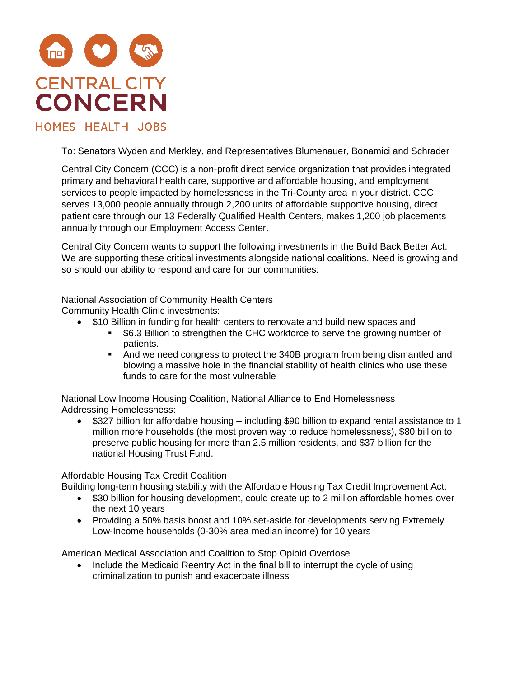

To: Senators Wyden and Merkley, and Representatives Blumenauer, Bonamici and Schrader

Central City Concern (CCC) is a non-profit direct service organization that provides integrated primary and behavioral health care, supportive and affordable housing, and employment services to people impacted by homelessness in the Tri-County area in your district. CCC serves 13,000 people annually through 2,200 units of affordable supportive housing, direct patient care through our 13 Federally Qualified Health Centers, makes 1,200 job placements annually through our Employment Access Center.

Central City Concern wants to support the following investments in the Build Back Better Act. We are supporting these critical investments alongside national coalitions. Need is growing and so should our ability to respond and care for our communities:

National Association of Community Health Centers Community Health Clinic investments:

- \$10 Billion in funding for health centers to renovate and build new spaces and
	- \$6.3 Billion to strengthen the CHC workforce to serve the growing number of patients.
	- And we need congress to protect the 340B program from being dismantled and blowing a massive hole in the financial stability of health clinics who use these funds to care for the most vulnerable

National Low Income Housing Coalition, National Alliance to End Homelessness Addressing Homelessness:

• \$327 billion for affordable housing – including \$90 billion to expand rental assistance to 1 million more households (the most proven way to reduce homelessness), \$80 billion to preserve public housing for more than 2.5 million residents, and \$37 billion for the national Housing Trust Fund.

Affordable Housing Tax Credit Coalition

Building long-term housing stability with the Affordable Housing Tax Credit Improvement Act:

- \$30 billion for housing development, could create up to 2 million affordable homes over the next 10 years
- Providing a 50% basis boost and 10% set-aside for developments serving Extremely Low-Income households (0-30% area median income) for 10 years

American Medical Association and Coalition to Stop Opioid Overdose

• Include the Medicaid Reentry Act in the final bill to interrupt the cycle of using criminalization to punish and exacerbate illness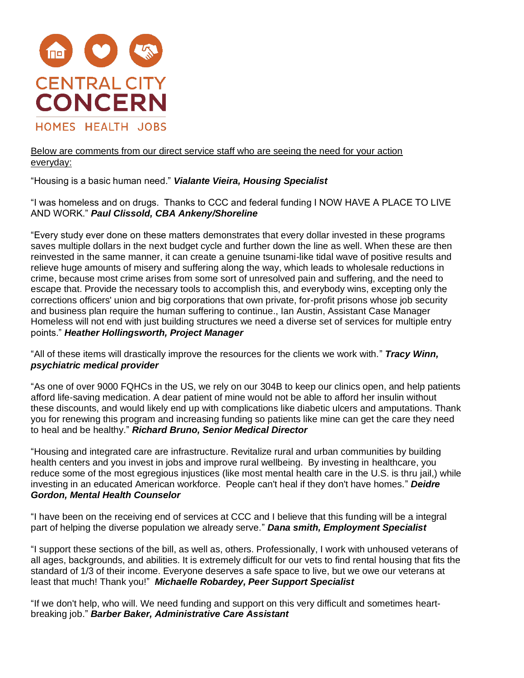

## Below are comments from our direct service staff who are seeing the need for your action everyday:

"Housing is a basic human need." *Vialante Vieira, Housing Specialist*

"I was homeless and on drugs. Thanks to CCC and federal funding I NOW HAVE A PLACE TO LIVE AND WORK." *Paul Clissold, CBA Ankeny/Shoreline*

"Every study ever done on these matters demonstrates that every dollar invested in these programs saves multiple dollars in the next budget cycle and further down the line as well. When these are then reinvested in the same manner, it can create a genuine tsunami-like tidal wave of positive results and relieve huge amounts of misery and suffering along the way, which leads to wholesale reductions in crime, because most crime arises from some sort of unresolved pain and suffering, and the need to escape that. Provide the necessary tools to accomplish this, and everybody wins, excepting only the corrections officers' union and big corporations that own private, for-profit prisons whose job security and business plan require the human suffering to continue., Ian Austin, Assistant Case Manager Homeless will not end with just building structures we need a diverse set of services for multiple entry points." *Heather Hollingsworth, Project Manager*

"All of these items will drastically improve the resources for the clients we work with." *Tracy Winn, psychiatric medical provider*

"As one of over 9000 FQHCs in the US, we rely on our 304B to keep our clinics open, and help patients afford life-saving medication. A dear patient of mine would not be able to afford her insulin without these discounts, and would likely end up with complications like diabetic ulcers and amputations. Thank you for renewing this program and increasing funding so patients like mine can get the care they need to heal and be healthy." *Richard Bruno, Senior Medical Director*

"Housing and integrated care are infrastructure. Revitalize rural and urban communities by building health centers and you invest in jobs and improve rural wellbeing. By investing in healthcare, you reduce some of the most egregious injustices (like most mental health care in the U.S. is thru jail,) while investing in an educated American workforce. People can't heal if they don't have homes." *Deidre Gordon, Mental Health Counselor*

"I have been on the receiving end of services at CCC and I believe that this funding will be a integral part of helping the diverse population we already serve." *Dana smith, Employment Specialist* 

"I support these sections of the bill, as well as, others. Professionally, I work with unhoused veterans of all ages, backgrounds, and abilities. It is extremely difficult for our vets to find rental housing that fits the standard of 1/3 of their income. Everyone deserves a safe space to live, but we owe our veterans at least that much! Thank you!" *Michaelle Robardey, Peer Support Specialist* 

"If we don't help, who will. We need funding and support on this very difficult and sometimes heartbreaking job." *Barber Baker, Administrative Care Assistant*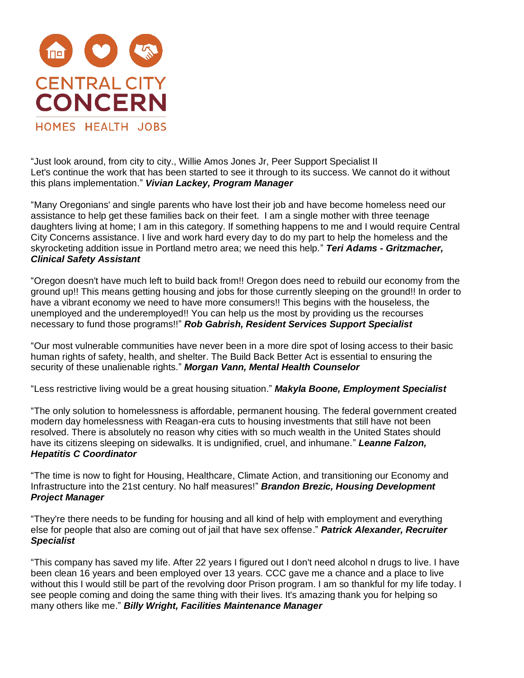

"Just look around, from city to city., Willie Amos Jones Jr, Peer Support Specialist II Let's continue the work that has been started to see it through to its success. We cannot do it without this plans implementation." *Vivian Lackey, Program Manager*

"Many Oregonians' and single parents who have lost their job and have become homeless need our assistance to help get these families back on their feet. I am a single mother with three teenage daughters living at home; I am in this category. If something happens to me and I would require Central City Concerns assistance. I live and work hard every day to do my part to help the homeless and the skyrocketing addition issue in Portland metro area; we need this help." *Teri Adams - Gritzmacher, Clinical Safety Assistant*

"Oregon doesn't have much left to build back from!! Oregon does need to rebuild our economy from the ground up!! This means getting housing and jobs for those currently sleeping on the ground!! In order to have a vibrant economy we need to have more consumers!! This begins with the houseless, the unemployed and the underemployed!! You can help us the most by providing us the recourses necessary to fund those programs!!" *Rob Gabrish, Resident Services Support Specialist*

"Our most vulnerable communities have never been in a more dire spot of losing access to their basic human rights of safety, health, and shelter. The Build Back Better Act is essential to ensuring the security of these unalienable rights." *Morgan Vann, Mental Health Counselor*

"Less restrictive living would be a great housing situation." *Makyla Boone, Employment Specialist* 

"The only solution to homelessness is affordable, permanent housing. The federal government created modern day homelessness with Reagan-era cuts to housing investments that still have not been resolved. There is absolutely no reason why cities with so much wealth in the United States should have its citizens sleeping on sidewalks. It is undignified, cruel, and inhumane." *Leanne Falzon, Hepatitis C Coordinator*

"The time is now to fight for Housing, Healthcare, Climate Action, and transitioning our Economy and Infrastructure into the 21st century. No half measures!" *Brandon Brezic, Housing Development Project Manager*

"They're there needs to be funding for housing and all kind of help with employment and everything else for people that also are coming out of jail that have sex offense." *Patrick Alexander, Recruiter Specialist*

"This company has saved my life. After 22 years I figured out I don't need alcohol n drugs to live. I have been clean 16 years and been employed over 13 years. CCC gave me a chance and a place to live without this I would still be part of the revolving door Prison program. I am so thankful for my life today. I see people coming and doing the same thing with their lives. It's amazing thank you for helping so many others like me." *Billy Wright, Facilities Maintenance Manager*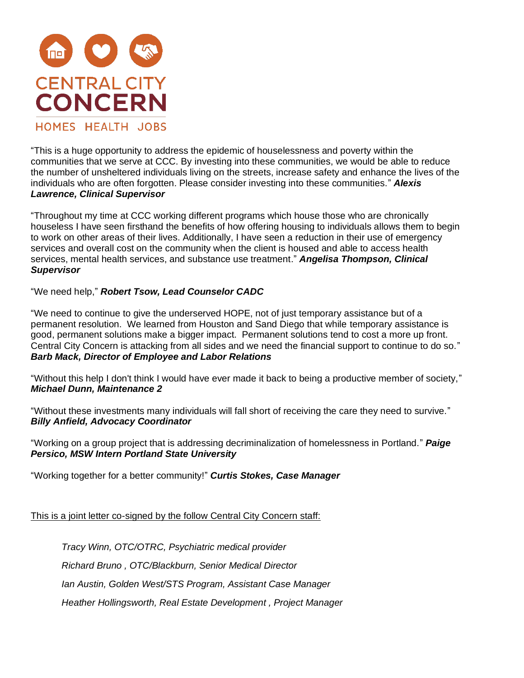

"This is a huge opportunity to address the epidemic of houselessness and poverty within the communities that we serve at CCC. By investing into these communities, we would be able to reduce the number of unsheltered individuals living on the streets, increase safety and enhance the lives of the individuals who are often forgotten. Please consider investing into these communities." *Alexis Lawrence, Clinical Supervisor*

"Throughout my time at CCC working different programs which house those who are chronically houseless I have seen firsthand the benefits of how offering housing to individuals allows them to begin to work on other areas of their lives. Additionally, I have seen a reduction in their use of emergency services and overall cost on the community when the client is housed and able to access health services, mental health services, and substance use treatment." *Angelisa Thompson, Clinical Supervisor*

## "We need help," *Robert Tsow, Lead Counselor CADC*

"We need to continue to give the underserved HOPE, not of just temporary assistance but of a permanent resolution. We learned from Houston and Sand Diego that while temporary assistance is good, permanent solutions make a bigger impact. Permanent solutions tend to cost a more up front. Central City Concern is attacking from all sides and we need the financial support to continue to do so." *Barb Mack, Director of Employee and Labor Relations*

"Without this help I don't think I would have ever made it back to being a productive member of society," *Michael Dunn, Maintenance 2*

"Without these investments many individuals will fall short of receiving the care they need to survive." *Billy Anfield, Advocacy Coordinator*

"Working on a group project that is addressing decriminalization of homelessness in Portland." *Paige Persico, MSW Intern Portland State University* 

"Working together for a better community!" *Curtis Stokes, Case Manager*

## This is a joint letter co-signed by the follow Central City Concern staff:

*Tracy Winn, OTC/OTRC, Psychiatric medical provider*

*Richard Bruno , OTC/Blackburn, Senior Medical Director*

*Ian Austin, Golden West/STS Program, Assistant Case Manager*

*Heather Hollingsworth, Real Estate Development , Project Manager*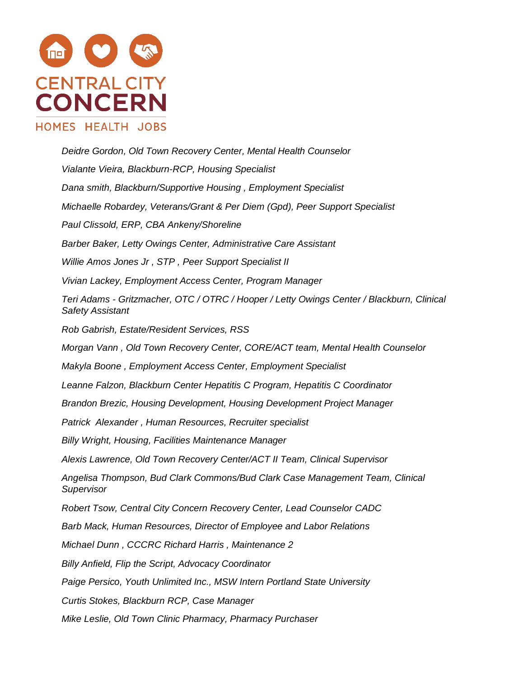

*Deidre Gordon, Old Town Recovery Center, Mental Health Counselor Vialante Vieira, Blackburn-RCP, Housing Specialist Dana smith, Blackburn/Supportive Housing , Employment Specialist Michaelle Robardey, Veterans/Grant & Per Diem (Gpd), Peer Support Specialist Paul Clissold, ERP, CBA Ankeny/Shoreline Barber Baker, Letty Owings Center, Administrative Care Assistant Willie Amos Jones Jr , STP , Peer Support Specialist II Vivian Lackey, Employment Access Center, Program Manager Teri Adams - Gritzmacher, OTC / OTRC / Hooper / Letty Owings Center / Blackburn, Clinical Safety Assistant Rob Gabrish, Estate/Resident Services, RSS Morgan Vann , Old Town Recovery Center, CORE/ACT team, Mental Health Counselor Makyla Boone , Employment Access Center, Employment Specialist Leanne Falzon, Blackburn Center Hepatitis C Program, Hepatitis C Coordinator Brandon Brezic, Housing Development, Housing Development Project Manager Patrick Alexander , Human Resources, Recruiter specialist Billy Wright, Housing, Facilities Maintenance Manager Alexis Lawrence, Old Town Recovery Center/ACT II Team, Clinical Supervisor Angelisa Thompson, Bud Clark Commons/Bud Clark Case Management Team, Clinical Supervisor Robert Tsow, Central City Concern Recovery Center, Lead Counselor CADC Barb Mack, Human Resources, Director of Employee and Labor Relations Michael Dunn , CCCRC Richard Harris , Maintenance 2 Billy Anfield, Flip the Script, Advocacy Coordinator Paige Persico, Youth Unlimited Inc., MSW Intern Portland State University Curtis Stokes, Blackburn RCP, Case Manager*

*Mike Leslie, Old Town Clinic Pharmacy, Pharmacy Purchaser*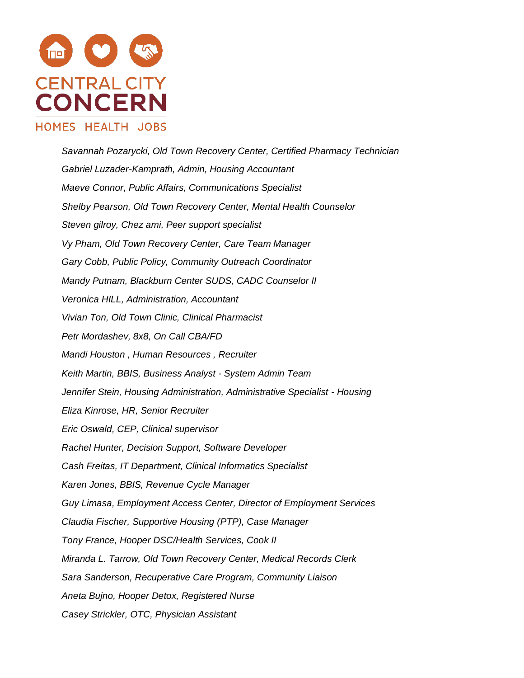

*Savannah Pozarycki, Old Town Recovery Center, Certified Pharmacy Technician Gabriel Luzader-Kamprath, Admin, Housing Accountant Maeve Connor, Public Affairs, Communications Specialist Shelby Pearson, Old Town Recovery Center, Mental Health Counselor Steven gilroy, Chez ami, Peer support specialist Vy Pham, Old Town Recovery Center, Care Team Manager Gary Cobb, Public Policy, Community Outreach Coordinator Mandy Putnam, Blackburn Center SUDS, CADC Counselor II Veronica HILL, Administration, Accountant Vivian Ton, Old Town Clinic, Clinical Pharmacist Petr Mordashev, 8x8, On Call CBA/FD Mandi Houston , Human Resources , Recruiter Keith Martin, BBIS, Business Analyst - System Admin Team Jennifer Stein, Housing Administration, Administrative Specialist - Housing Eliza Kinrose, HR, Senior Recruiter Eric Oswald, CEP, Clinical supervisor Rachel Hunter, Decision Support, Software Developer Cash Freitas, IT Department, Clinical Informatics Specialist Karen Jones, BBIS, Revenue Cycle Manager Guy Limasa, Employment Access Center, Director of Employment Services Claudia Fischer, Supportive Housing (PTP), Case Manager Tony France, Hooper DSC/Health Services, Cook II Miranda L. Tarrow, Old Town Recovery Center, Medical Records Clerk Sara Sanderson, Recuperative Care Program, Community Liaison Aneta Bujno, Hooper Detox, Registered Nurse Casey Strickler, OTC, Physician Assistant*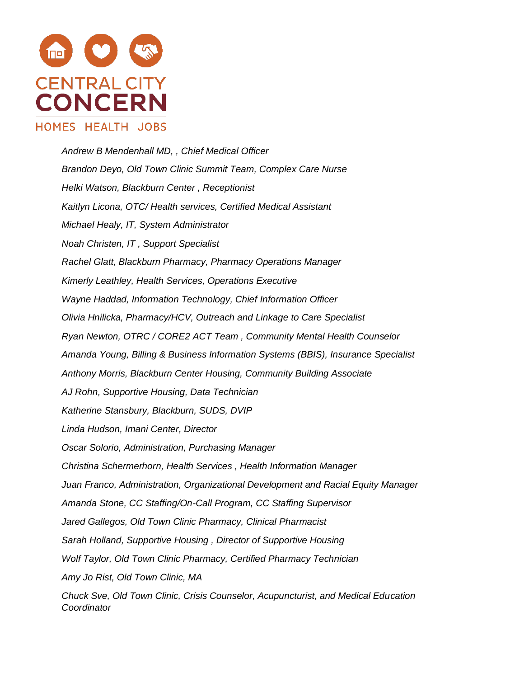

*Andrew B Mendenhall MD, , Chief Medical Officer Brandon Deyo, Old Town Clinic Summit Team, Complex Care Nurse Helki Watson, Blackburn Center , Receptionist Kaitlyn Licona, OTC/ Health services, Certified Medical Assistant Michael Healy, IT, System Administrator Noah Christen, IT , Support Specialist Rachel Glatt, Blackburn Pharmacy, Pharmacy Operations Manager Kimerly Leathley, Health Services, Operations Executive Wayne Haddad, Information Technology, Chief Information Officer Olivia Hnilicka, Pharmacy/HCV, Outreach and Linkage to Care Specialist Ryan Newton, OTRC / CORE2 ACT Team , Community Mental Health Counselor Amanda Young, Billing & Business Information Systems (BBIS), Insurance Specialist Anthony Morris, Blackburn Center Housing, Community Building Associate AJ Rohn, Supportive Housing, Data Technician Katherine Stansbury, Blackburn, SUDS, DVIP Linda Hudson, Imani Center, Director Oscar Solorio, Administration, Purchasing Manager Christina Schermerhorn, Health Services , Health Information Manager Juan Franco, Administration, Organizational Development and Racial Equity Manager Amanda Stone, CC Staffing/On-Call Program, CC Staffing Supervisor Jared Gallegos, Old Town Clinic Pharmacy, Clinical Pharmacist Sarah Holland, Supportive Housing , Director of Supportive Housing Wolf Taylor, Old Town Clinic Pharmacy, Certified Pharmacy Technician Amy Jo Rist, Old Town Clinic, MA Chuck Sve, Old Town Clinic, Crisis Counselor, Acupuncturist, and Medical Education Coordinator*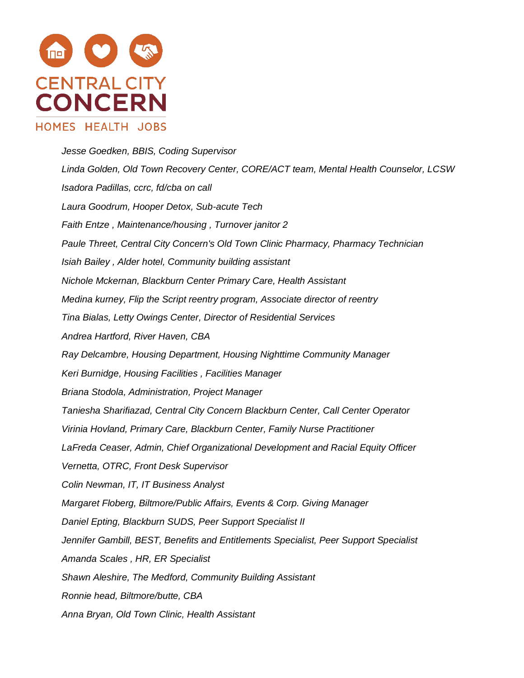

*Jesse Goedken, BBIS, Coding Supervisor Linda Golden, Old Town Recovery Center, CORE/ACT team, Mental Health Counselor, LCSW Isadora Padillas, ccrc, fd/cba on call Laura Goodrum, Hooper Detox, Sub-acute Tech Faith Entze , Maintenance/housing , Turnover janitor 2 Paule Threet, Central City Concern's Old Town Clinic Pharmacy, Pharmacy Technician Isiah Bailey , Alder hotel, Community building assistant Nichole Mckernan, Blackburn Center Primary Care, Health Assistant Medina kurney, Flip the Script reentry program, Associate director of reentry Tina Bialas, Letty Owings Center, Director of Residential Services Andrea Hartford, River Haven, CBA Ray Delcambre, Housing Department, Housing Nighttime Community Manager Keri Burnidge, Housing Facilities , Facilities Manager Briana Stodola, Administration, Project Manager Taniesha Sharifiazad, Central City Concern Blackburn Center, Call Center Operator Virinia Hovland, Primary Care, Blackburn Center, Family Nurse Practitioner LaFreda Ceaser, Admin, Chief Organizational Development and Racial Equity Officer Vernetta, OTRC, Front Desk Supervisor Colin Newman, IT, IT Business Analyst Margaret Floberg, Biltmore/Public Affairs, Events & Corp. Giving Manager Daniel Epting, Blackburn SUDS, Peer Support Specialist II Jennifer Gambill, BEST, Benefits and Entitlements Specialist, Peer Support Specialist Amanda Scales , HR, ER Specialist Shawn Aleshire, The Medford, Community Building Assistant Ronnie head, Biltmore/butte, CBA Anna Bryan, Old Town Clinic, Health Assistant*